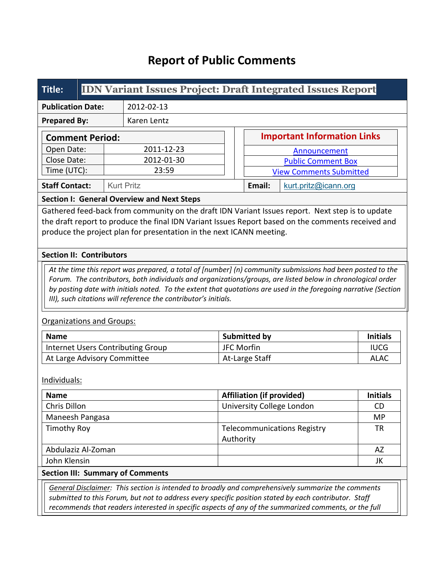# **Report of Public Comments**

| Title:                   |  | <b>IDN Variant Issues Project: Draft Integrated Issues Report</b> |                   |                                    |                                |                      |  |  |
|--------------------------|--|-------------------------------------------------------------------|-------------------|------------------------------------|--------------------------------|----------------------|--|--|
| <b>Publication Date:</b> |  | 2012-02-13                                                        |                   |                                    |                                |                      |  |  |
| <b>Prepared By:</b>      |  |                                                                   | Karen Lentz       |                                    |                                |                      |  |  |
| <b>Comment Period:</b>   |  |                                                                   |                   | <b>Important Information Links</b> |                                |                      |  |  |
| Open Date:               |  | 2011-12-23                                                        |                   | Announcement                       |                                |                      |  |  |
| Close Date:              |  |                                                                   | 2012-01-30        |                                    | <b>Public Comment Box</b>      |                      |  |  |
| Time (UTC):              |  |                                                                   | 23:59             |                                    | <b>View Comments Submitted</b> |                      |  |  |
| <b>Staff Contact:</b>    |  |                                                                   | <b>Kurt Pritz</b> |                                    | Email:                         | kurt.pritz@icann.org |  |  |

**Section I: General Overview and Next Steps**

Gathered feed-back from community on the draft IDN Variant Issues report. Next step is to update the draft report to produce the final IDN Variant Issues Report based on the comments received and produce the project plan for presentation in the next ICANN meeting.

#### **Section II: Contributors**

*At the time this report was prepared, a total of [number] (n) community submissions had been posted to the Forum. The contributors, both individuals and organizations/groups, are listed below in chronological order by posting date with initials noted. To the extent that quotations are used in the foregoing narrative (Section III), such citations will reference the contributor's initials.*

#### Organizations and Groups:

| <b>Name</b>                              | <b>Submitted by</b> | <b>Initials</b> |
|------------------------------------------|---------------------|-----------------|
| Internet Users Contributing Group        | JFC Morfin          | <b>IUCG</b>     |
| <sup>1</sup> At Large Advisory Committee | At-Large Staff      | ALAC            |

Individuals:

| <b>Name</b>        | <b>Affiliation (if provided)</b>   | <b>Initials</b> |
|--------------------|------------------------------------|-----------------|
| Chris Dillon       | University College London          | CD              |
| Maneesh Pangasa    |                                    | <b>MP</b>       |
| Timothy Roy        | <b>Telecommunications Registry</b> | <b>TR</b>       |
|                    | Authority                          |                 |
| Abdulaziz Al-Zoman |                                    | AZ              |
| John Klensin       |                                    | JK              |

#### **Section III: Summary of Comments**

*General Disclaimer: This section is intended to broadly and comprehensively summarize the comments submitted to this Forum, but not to address every specific position stated by each contributor. Staff recommends that readers interested in specific aspects of any of the summarized comments, or the full*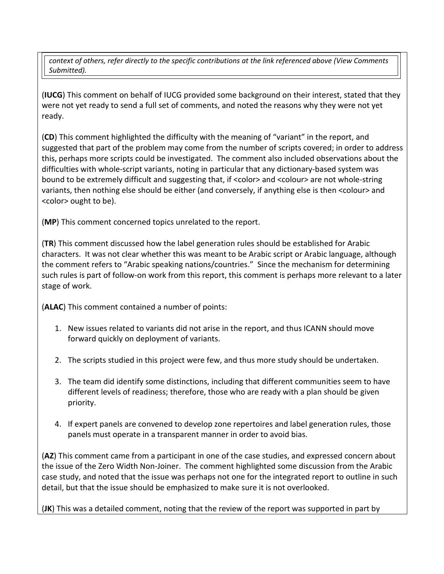*context of others, refer directly to the specific contributions at the link referenced above (View Comments Submitted).* 

(**IUCG**) This comment on behalf of IUCG provided some background on their interest, stated that they were not yet ready to send a full set of comments, and noted the reasons why they were not yet ready.

(**CD**) This comment highlighted the difficulty with the meaning of "variant" in the report, and suggested that part of the problem may come from the number of scripts covered; in order to address this, perhaps more scripts could be investigated. The comment also included observations about the difficulties with whole-script variants, noting in particular that any dictionary-based system was bound to be extremely difficult and suggesting that, if <color> and <colour> are not whole-string variants, then nothing else should be either (and conversely, if anything else is then <colour> and <color> ought to be).

(**MP**) This comment concerned topics unrelated to the report.

(**TR**) This comment discussed how the label generation rules should be established for Arabic characters. It was not clear whether this was meant to be Arabic script or Arabic language, although the comment refers to "Arabic speaking nations/countries." Since the mechanism for determining such rules is part of follow-on work from this report, this comment is perhaps more relevant to a later stage of work.

(**ALAC**) This comment contained a number of points:

- 1. New issues related to variants did not arise in the report, and thus ICANN should move forward quickly on deployment of variants.
- 2. The scripts studied in this project were few, and thus more study should be undertaken.
- 3. The team did identify some distinctions, including that different communities seem to have different levels of readiness; therefore, those who are ready with a plan should be given priority.
- 4. If expert panels are convened to develop zone repertoires and label generation rules, those panels must operate in a transparent manner in order to avoid bias.

(**AZ**) This comment came from a participant in one of the case studies, and expressed concern about the issue of the Zero Width Non-Joiner. The comment highlighted some discussion from the Arabic case study, and noted that the issue was perhaps not one for the integrated report to outline in such detail, but that the issue should be emphasized to make sure it is not overlooked.

(**JK**) This was a detailed comment, noting that the review of the report was supported in part by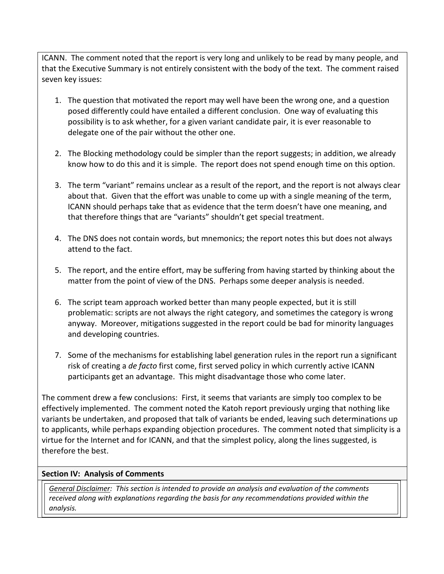ICANN. The comment noted that the report is very long and unlikely to be read by many people, and that the Executive Summary is not entirely consistent with the body of the text. The comment raised seven key issues:

- 1. The question that motivated the report may well have been the wrong one, and a question posed differently could have entailed a different conclusion. One way of evaluating this possibility is to ask whether, for a given variant candidate pair, it is ever reasonable to delegate one of the pair without the other one.
- 2. The Blocking methodology could be simpler than the report suggests; in addition, we already know how to do this and it is simple. The report does not spend enough time on this option.
- 3. The term "variant" remains unclear as a result of the report, and the report is not always clear about that. Given that the effort was unable to come up with a single meaning of the term, ICANN should perhaps take that as evidence that the term doesn't have one meaning, and that therefore things that are "variants" shouldn't get special treatment.
- 4. The DNS does not contain words, but mnemonics; the report notes this but does not always attend to the fact.
- 5. The report, and the entire effort, may be suffering from having started by thinking about the matter from the point of view of the DNS. Perhaps some deeper analysis is needed.
- 6. The script team approach worked better than many people expected, but it is still problematic: scripts are not always the right category, and sometimes the category is wrong anyway. Moreover, mitigations suggested in the report could be bad for minority languages and developing countries.
- 7. Some of the mechanisms for establishing label generation rules in the report run a significant risk of creating a *de facto* first come, first served policy in which currently active ICANN participants get an advantage. This might disadvantage those who come later.

The comment drew a few conclusions: First, it seems that variants are simply too complex to be effectively implemented. The comment noted the Katoh report previously urging that nothing like variants be undertaken, and proposed that talk of variants be ended, leaving such determinations up to applicants, while perhaps expanding objection procedures. The comment noted that simplicity is a virtue for the Internet and for ICANN, and that the simplest policy, along the lines suggested, is therefore the best.

## **Section IV: Analysis of Comments**

*General Disclaimer: This section is intended to provide an analysis and evaluation of the comments received along with explanations regarding the basis for any recommendations provided within the analysis.*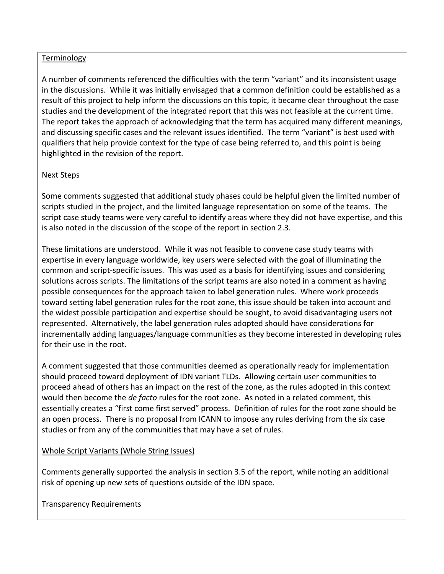#### Terminology

A number of comments referenced the difficulties with the term "variant" and its inconsistent usage in the discussions. While it was initially envisaged that a common definition could be established as a result of this project to help inform the discussions on this topic, it became clear throughout the case studies and the development of the integrated report that this was not feasible at the current time. The report takes the approach of acknowledging that the term has acquired many different meanings, and discussing specific cases and the relevant issues identified. The term "variant" is best used with qualifiers that help provide context for the type of case being referred to, and this point is being highlighted in the revision of the report.

# Next Steps

Some comments suggested that additional study phases could be helpful given the limited number of scripts studied in the project, and the limited language representation on some of the teams. The script case study teams were very careful to identify areas where they did not have expertise, and this is also noted in the discussion of the scope of the report in section 2.3.

These limitations are understood. While it was not feasible to convene case study teams with expertise in every language worldwide, key users were selected with the goal of illuminating the common and script-specific issues. This was used as a basis for identifying issues and considering solutions across scripts. The limitations of the script teams are also noted in a comment as having possible consequences for the approach taken to label generation rules. Where work proceeds toward setting label generation rules for the root zone, this issue should be taken into account and the widest possible participation and expertise should be sought, to avoid disadvantaging users not represented. Alternatively, the label generation rules adopted should have considerations for incrementally adding languages/language communities as they become interested in developing rules for their use in the root.

A comment suggested that those communities deemed as operationally ready for implementation should proceed toward deployment of IDN variant TLDs. Allowing certain user communities to proceed ahead of others has an impact on the rest of the zone, as the rules adopted in this context would then become the *de facto* rules for the root zone. As noted in a related comment, this essentially creates a "first come first served" process. Definition of rules for the root zone should be an open process. There is no proposal from ICANN to impose any rules deriving from the six case studies or from any of the communities that may have a set of rules.

## Whole Script Variants (Whole String Issues)

Comments generally supported the analysis in section 3.5 of the report, while noting an additional risk of opening up new sets of questions outside of the IDN space.

## Transparency Requirements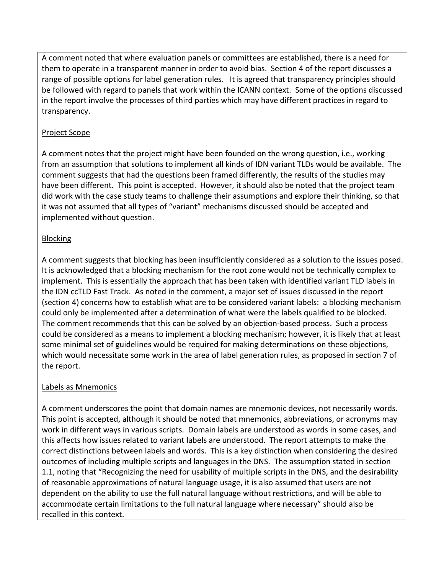A comment noted that where evaluation panels or committees are established, there is a need for them to operate in a transparent manner in order to avoid bias. Section 4 of the report discusses a range of possible options for label generation rules. It is agreed that transparency principles should be followed with regard to panels that work within the ICANN context. Some of the options discussed in the report involve the processes of third parties which may have different practices in regard to transparency.

# Project Scope

A comment notes that the project might have been founded on the wrong question, i.e., working from an assumption that solutions to implement all kinds of IDN variant TLDs would be available. The comment suggests that had the questions been framed differently, the results of the studies may have been different. This point is accepted. However, it should also be noted that the project team did work with the case study teams to challenge their assumptions and explore their thinking, so that it was not assumed that all types of "variant" mechanisms discussed should be accepted and implemented without question.

# Blocking

A comment suggests that blocking has been insufficiently considered as a solution to the issues posed. It is acknowledged that a blocking mechanism for the root zone would not be technically complex to implement. This is essentially the approach that has been taken with identified variant TLD labels in the IDN ccTLD Fast Track. As noted in the comment, a major set of issues discussed in the report (section 4) concerns how to establish what are to be considered variant labels: a blocking mechanism could only be implemented after a determination of what were the labels qualified to be blocked. The comment recommends that this can be solved by an objection-based process. Such a process could be considered as a means to implement a blocking mechanism; however, it is likely that at least some minimal set of guidelines would be required for making determinations on these objections, which would necessitate some work in the area of label generation rules, as proposed in section 7 of the report.

# Labels as Mnemonics

A comment underscores the point that domain names are mnemonic devices, not necessarily words. This point is accepted, although it should be noted that mnemonics, abbreviations, or acronyms may work in different ways in various scripts. Domain labels are understood as words in some cases, and this affects how issues related to variant labels are understood. The report attempts to make the correct distinctions between labels and words. This is a key distinction when considering the desired outcomes of including multiple scripts and languages in the DNS. The assumption stated in section 1.1, noting that "Recognizing the need for usability of multiple scripts in the DNS, and the desirability of reasonable approximations of natural language usage, it is also assumed that users are not dependent on the ability to use the full natural language without restrictions, and will be able to accommodate certain limitations to the full natural language where necessary" should also be recalled in this context.